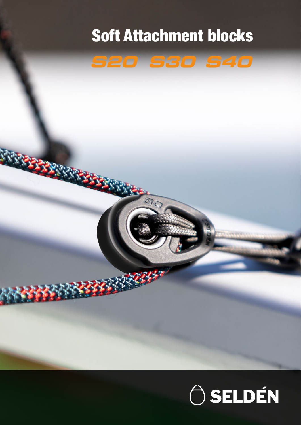## Soft Attachment blocks



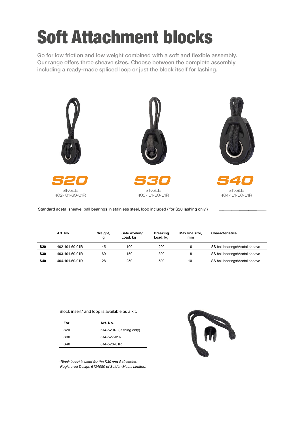## Soft Attachment blocks

Go for low friction and low weight combined with a soft and flexible assembly. Our range offers three sheave sizes. Choose between the complete assembly including a ready-made spliced loop or just the block itself for lashing.



Standard acetal sheave, ball bearings in stainless steel, loop included ( for S20 lashing only )

|            | Art. No.       | Weight,<br>g | Safe working<br>Load, kg | <b>Breaking</b><br>Load, kg | Max line size.<br>mm | <b>Characteristics</b>         |  |
|------------|----------------|--------------|--------------------------|-----------------------------|----------------------|--------------------------------|--|
| <b>S20</b> | 402-101-60-01R | 45           | 100                      | 200                         | 6                    | SS ball bearings/Acetal sheave |  |
| <b>S30</b> | 403-101-60-01R | 69           | 150                      | 300                         | 8                    | SS ball bearings/Acetal sheave |  |
| <b>S40</b> | 404-101-60-01R | 128          | 250                      | 500                         | 10                   | SS ball bearings/Acetal sheave |  |

Block insert\* and loop is available as a kit.

| For             | Art. No.                |  |  |
|-----------------|-------------------------|--|--|
| S <sub>20</sub> | 614-529R (lashing only) |  |  |
| S30             | 614-527-01R             |  |  |
| S40             | 614-528-01R             |  |  |

*\*Block insert is used for the S30 and S40 series. Registered Design 6134080 of Seldén Masts Limited.*

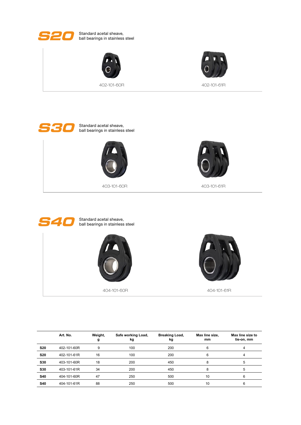

S20 Standard acetal sheave, ball bearings in stainless steel





402-101-60R 402-101-61R





403-101-60R 403-101-61R





|            | Art. No.    | Weight,<br>g | Safe working Load,<br>kg | <b>Breaking Load,</b><br>kg | Max line size,<br>mm | Max line size to<br>tie-on, mm |
|------------|-------------|--------------|--------------------------|-----------------------------|----------------------|--------------------------------|
| <b>S20</b> | 402-101-60R | 9            | 100                      | 200                         | 6                    | 4                              |
| <b>S20</b> | 402-101-61R | 16           | 100                      | 200                         | 6                    | 4                              |
| S30        | 403-101-60R | 18           | 200                      | 450                         | 8                    | 5                              |
| <b>S30</b> | 403-101-61R | 34           | 200                      | 450                         | 8                    | 5                              |
| <b>S40</b> | 404-101-60R | 47           | 250                      | 500                         | 10                   | 6                              |
| <b>S40</b> | 404-101-61R | 88           | 250                      | 500                         | 10                   |                                |